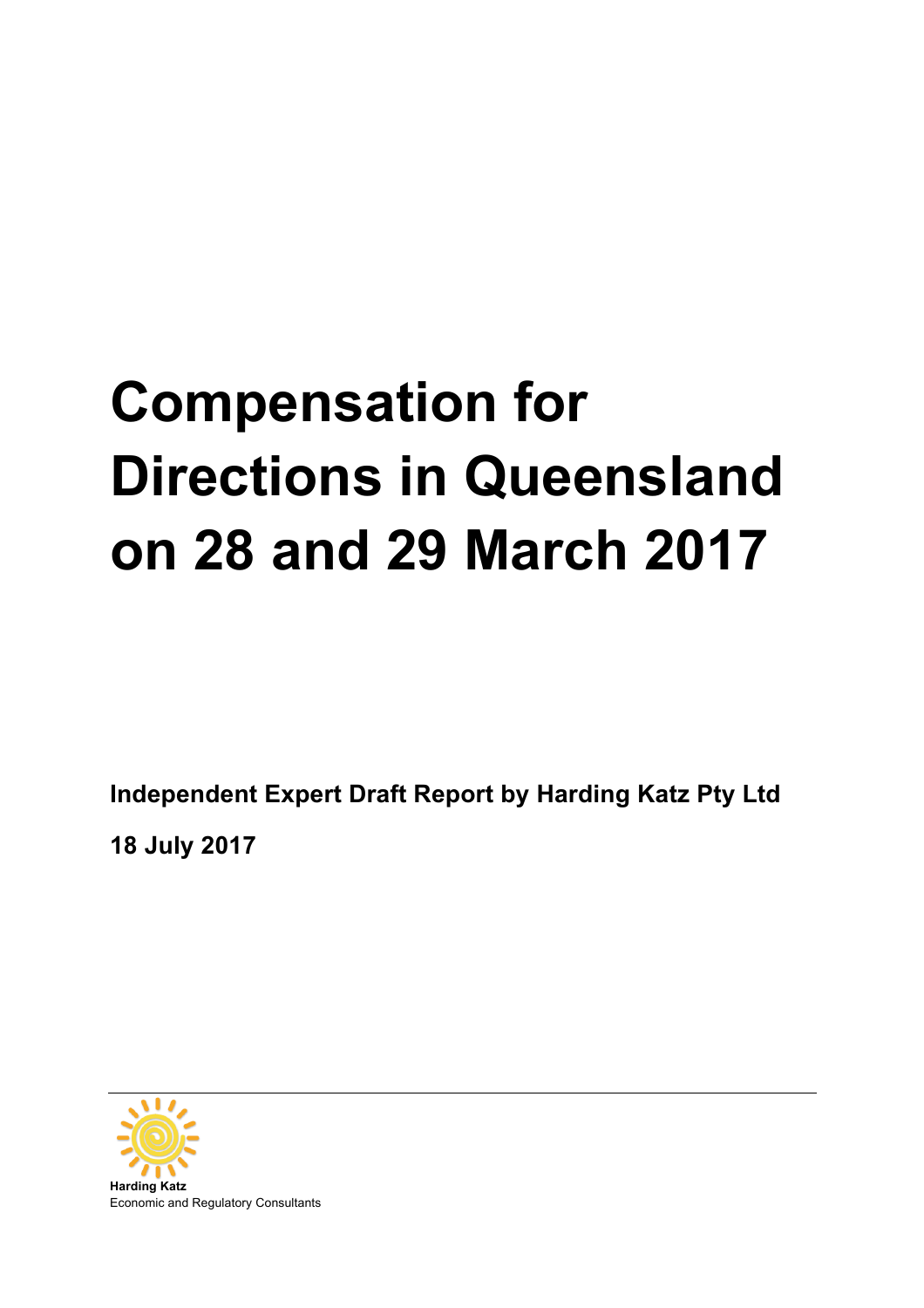# **Compensation for Directions in Queensland on 28 and 29 March 2017**

**Independent Expert Draft Report by Harding Katz Pty Ltd** 

**18 July 2017**

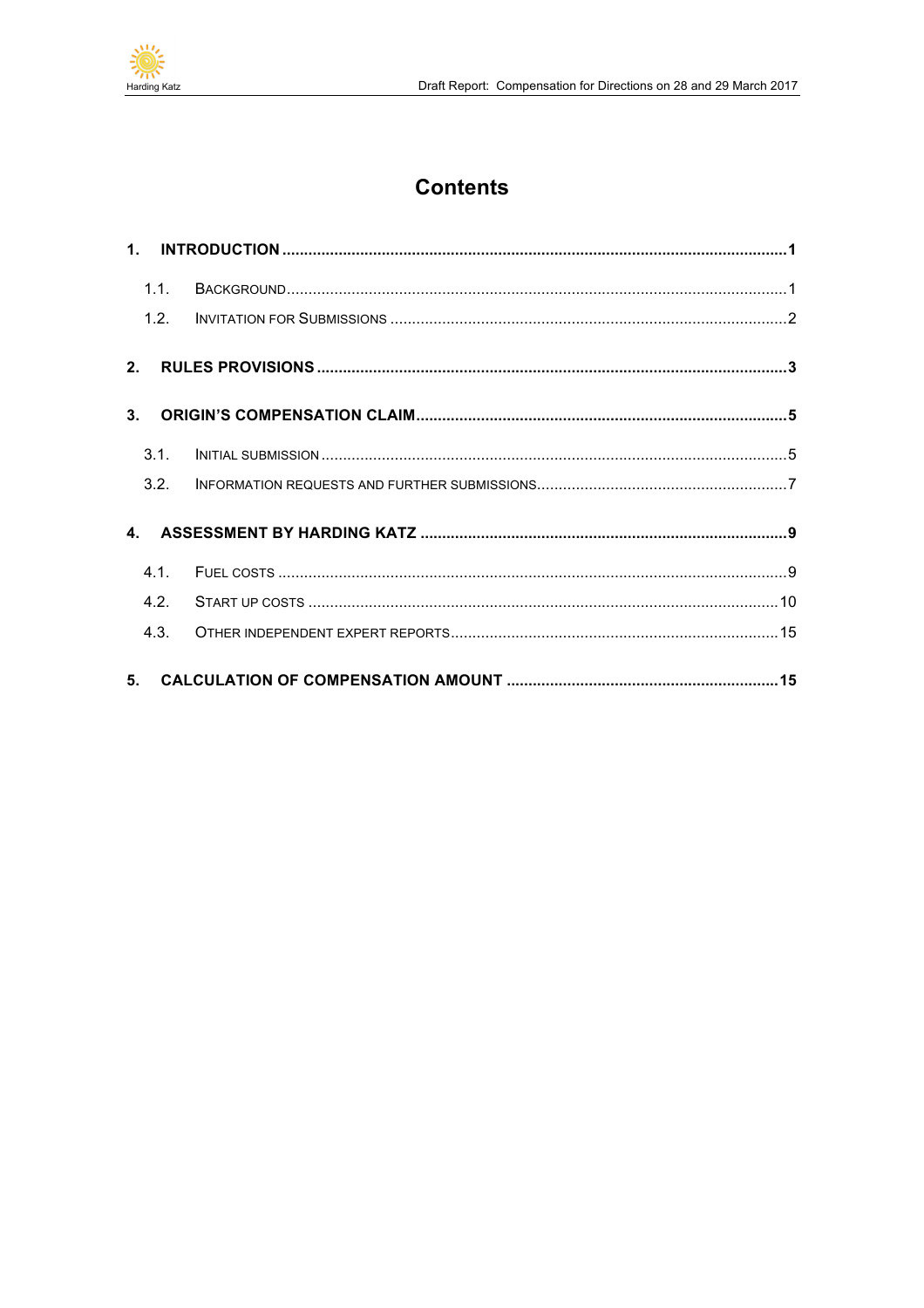

# **Contents**

| 1.1.           |  |
|----------------|--|
| 1.2.           |  |
| 2.             |  |
| 3 <sub>1</sub> |  |
| 3.1.           |  |
| 3.2.           |  |
|                |  |
| 4.1            |  |
| 4.2            |  |
| 4.3.           |  |
| 5 <sub>1</sub> |  |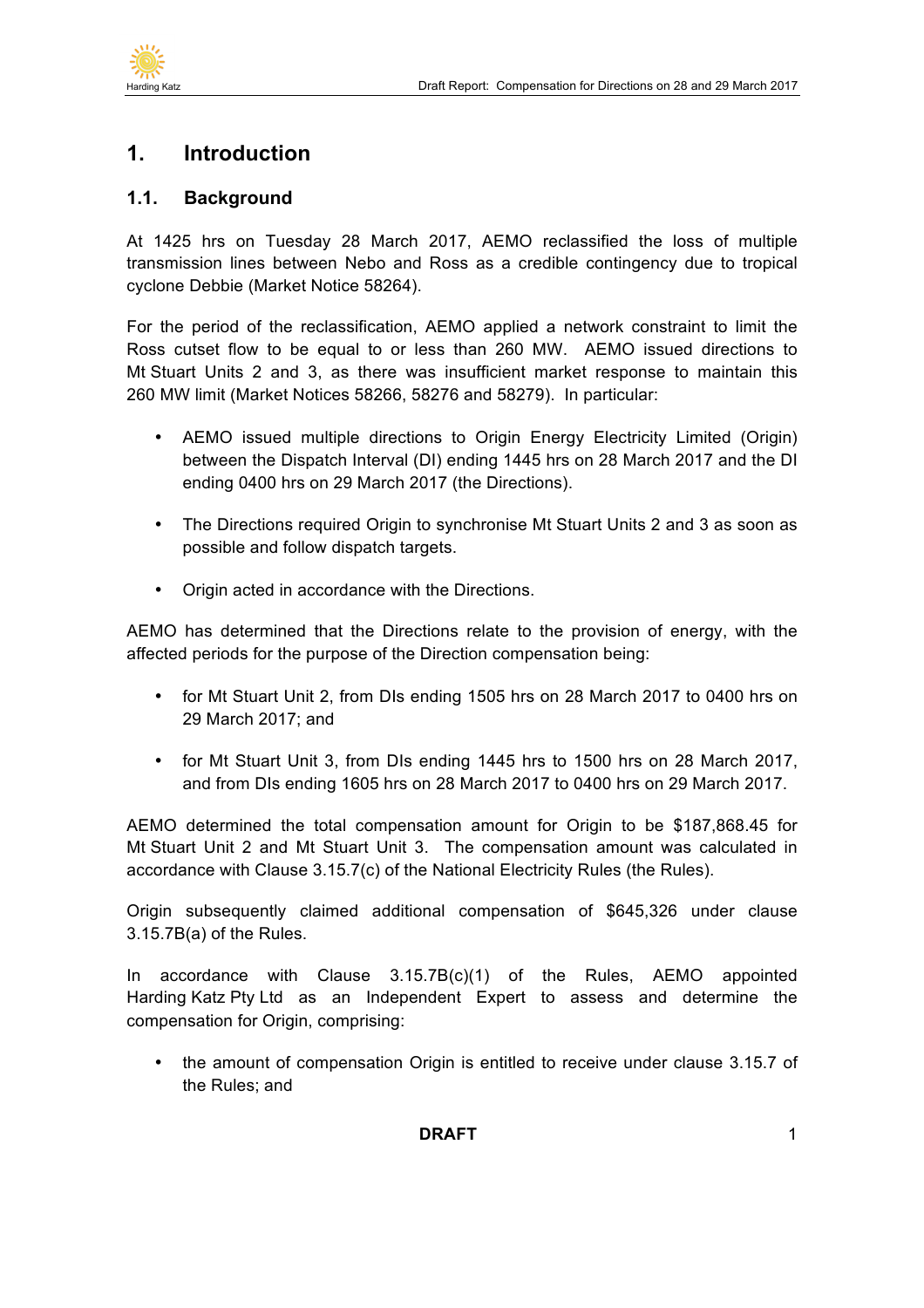

# **1. Introduction**

#### **1.1. Background**

At 1425 hrs on Tuesday 28 March 2017, AEMO reclassified the loss of multiple transmission lines between Nebo and Ross as a credible contingency due to tropical cyclone Debbie (Market Notice 58264).

For the period of the reclassification, AEMO applied a network constraint to limit the Ross cutset flow to be equal to or less than 260 MW. AEMO issued directions to Mt Stuart Units 2 and 3, as there was insufficient market response to maintain this 260 MW limit (Market Notices 58266, 58276 and 58279). In particular:

- AEMO issued multiple directions to Origin Energy Electricity Limited (Origin) between the Dispatch Interval (DI) ending 1445 hrs on 28 March 2017 and the DI ending 0400 hrs on 29 March 2017 (the Directions).
- The Directions required Origin to synchronise Mt Stuart Units 2 and 3 as soon as possible and follow dispatch targets.
- Origin acted in accordance with the Directions.

AEMO has determined that the Directions relate to the provision of energy, with the affected periods for the purpose of the Direction compensation being:

- for Mt Stuart Unit 2, from DIs ending 1505 hrs on 28 March 2017 to 0400 hrs on 29 March 2017; and
- for Mt Stuart Unit 3, from DIs ending 1445 hrs to 1500 hrs on 28 March 2017, and from DIs ending 1605 hrs on 28 March 2017 to 0400 hrs on 29 March 2017.

AEMO determined the total compensation amount for Origin to be \$187,868.45 for Mt Stuart Unit 2 and Mt Stuart Unit 3. The compensation amount was calculated in accordance with Clause 3.15.7(c) of the National Electricity Rules (the Rules).

Origin subsequently claimed additional compensation of \$645,326 under clause 3.15.7B(a) of the Rules.

In accordance with Clause 3.15.7B(c)(1) of the Rules, AEMO appointed Harding Katz Pty Ltd as an Independent Expert to assess and determine the compensation for Origin, comprising:

• the amount of compensation Origin is entitled to receive under clause 3.15.7 of the Rules; and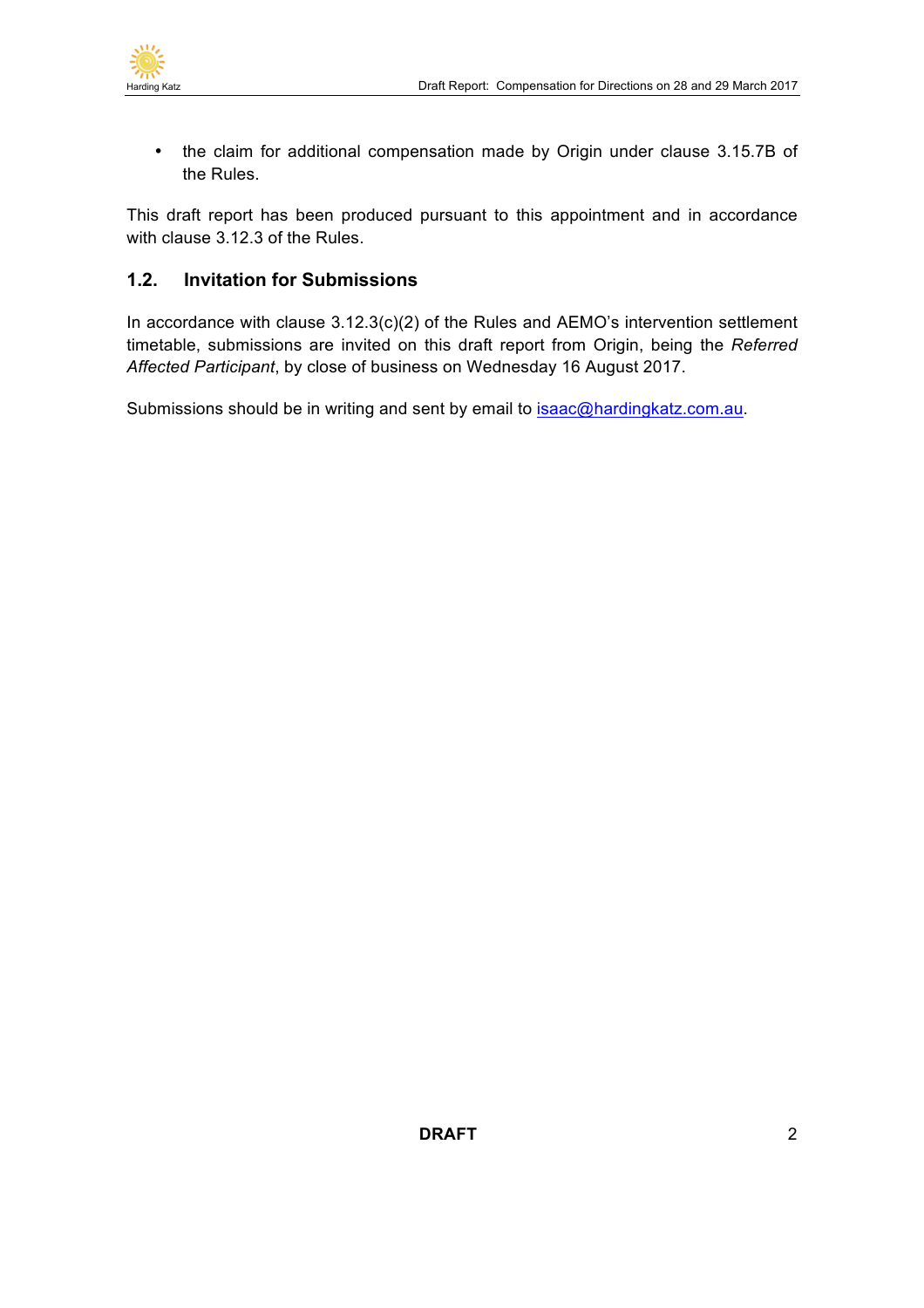

• the claim for additional compensation made by Origin under clause 3.15.7B of the Rules.

This draft report has been produced pursuant to this appointment and in accordance with clause 3.12.3 of the Rules.

## **1.2. Invitation for Submissions**

In accordance with clause 3.12.3(c)(2) of the Rules and AEMO's intervention settlement timetable, submissions are invited on this draft report from Origin, being the *Referred Affected Participant*, by close of business on Wednesday 16 August 2017.

Submissions should be in writing and sent by email to isaac@hardingkatz.com.au.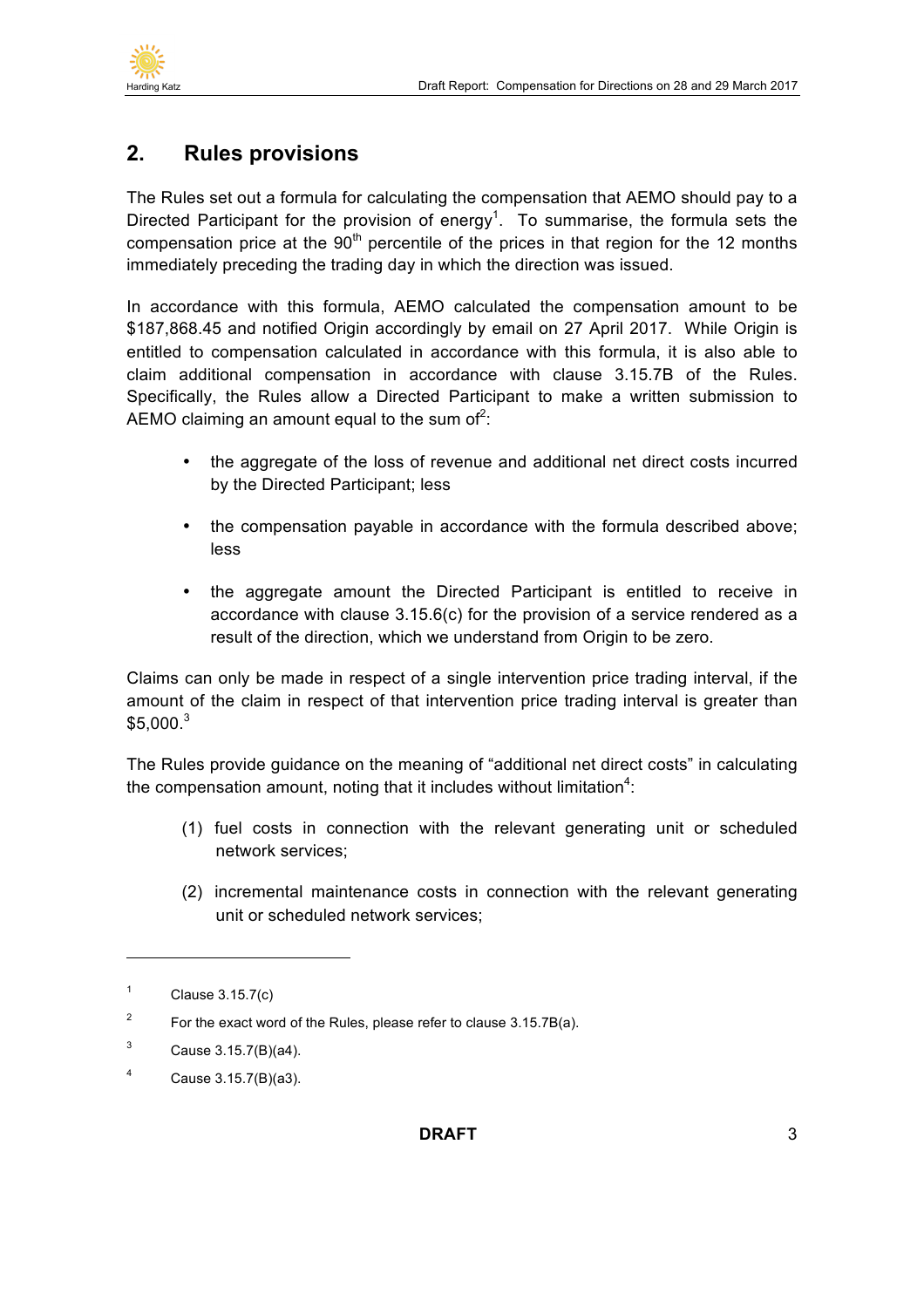

## **2. Rules provisions**

The Rules set out a formula for calculating the compensation that AEMO should pay to a Directed Participant for the provision of energy<sup>1</sup>. To summarise, the formula sets the compensation price at the  $90<sup>th</sup>$  percentile of the prices in that region for the 12 months immediately preceding the trading day in which the direction was issued.

In accordance with this formula, AEMO calculated the compensation amount to be \$187,868.45 and notified Origin accordingly by email on 27 April 2017. While Origin is entitled to compensation calculated in accordance with this formula, it is also able to claim additional compensation in accordance with clause 3.15.7B of the Rules. Specifically, the Rules allow a Directed Participant to make a written submission to AEMO claiming an amount equal to the sum of<sup>2</sup>:

- the aggregate of the loss of revenue and additional net direct costs incurred by the Directed Participant; less
- the compensation payable in accordance with the formula described above; less
- the aggregate amount the Directed Participant is entitled to receive in accordance with clause 3.15.6(c) for the provision of a service rendered as a result of the direction, which we understand from Origin to be zero.

Claims can only be made in respect of a single intervention price trading interval, if the amount of the claim in respect of that intervention price trading interval is greater than  $$5,000.<sup>3</sup>$ 

The Rules provide guidance on the meaning of "additional net direct costs" in calculating the compensation amount, noting that it includes without limitation<sup>4</sup>:

- (1) fuel costs in connection with the relevant generating unit or scheduled network services;
- (2) incremental maintenance costs in connection with the relevant generating unit or scheduled network services;

 $1$  Clause 3.15.7(c)

<sup>&</sup>lt;sup>2</sup> For the exact word of the Rules, please refer to clause  $3.15.7B(a)$ .

 $3$  Cause 3.15.7(B)(a4).

<sup>4</sup> Cause 3.15.7(B)(a3).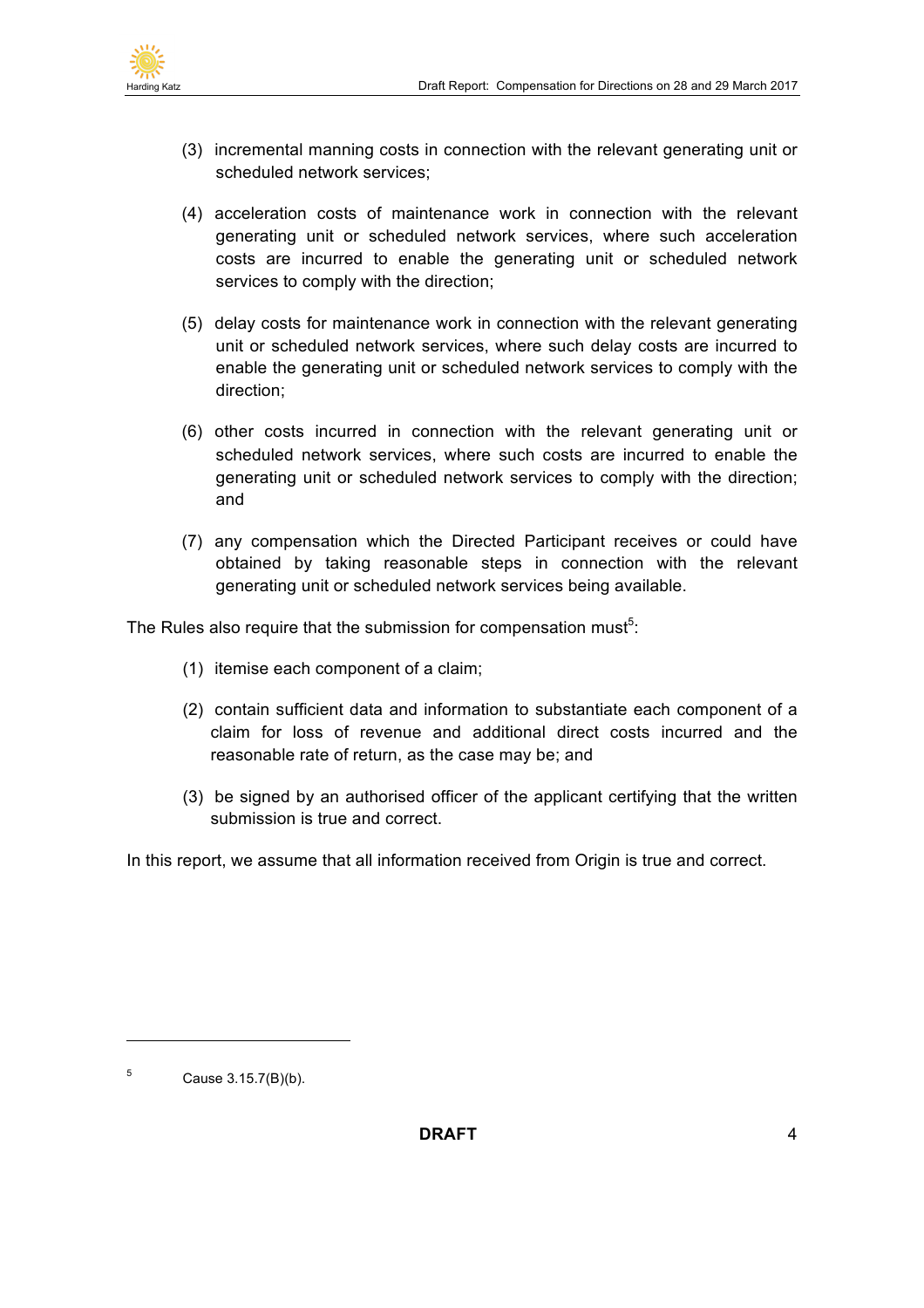

- (3) incremental manning costs in connection with the relevant generating unit or scheduled network services;
- (4) acceleration costs of maintenance work in connection with the relevant generating unit or scheduled network services, where such acceleration costs are incurred to enable the generating unit or scheduled network services to comply with the direction;
- (5) delay costs for maintenance work in connection with the relevant generating unit or scheduled network services, where such delay costs are incurred to enable the generating unit or scheduled network services to comply with the direction;
- (6) other costs incurred in connection with the relevant generating unit or scheduled network services, where such costs are incurred to enable the generating unit or scheduled network services to comply with the direction; and
- (7) any compensation which the Directed Participant receives or could have obtained by taking reasonable steps in connection with the relevant generating unit or scheduled network services being available.

The Rules also require that the submission for compensation must<sup>5</sup>:

- (1) itemise each component of a claim;
- (2) contain sufficient data and information to substantiate each component of a claim for loss of revenue and additional direct costs incurred and the reasonable rate of return, as the case may be; and
- (3) be signed by an authorised officer of the applicant certifying that the written submission is true and correct.

In this report, we assume that all information received from Origin is true and correct.

 $5$  Cause 3.15.7(B)(b).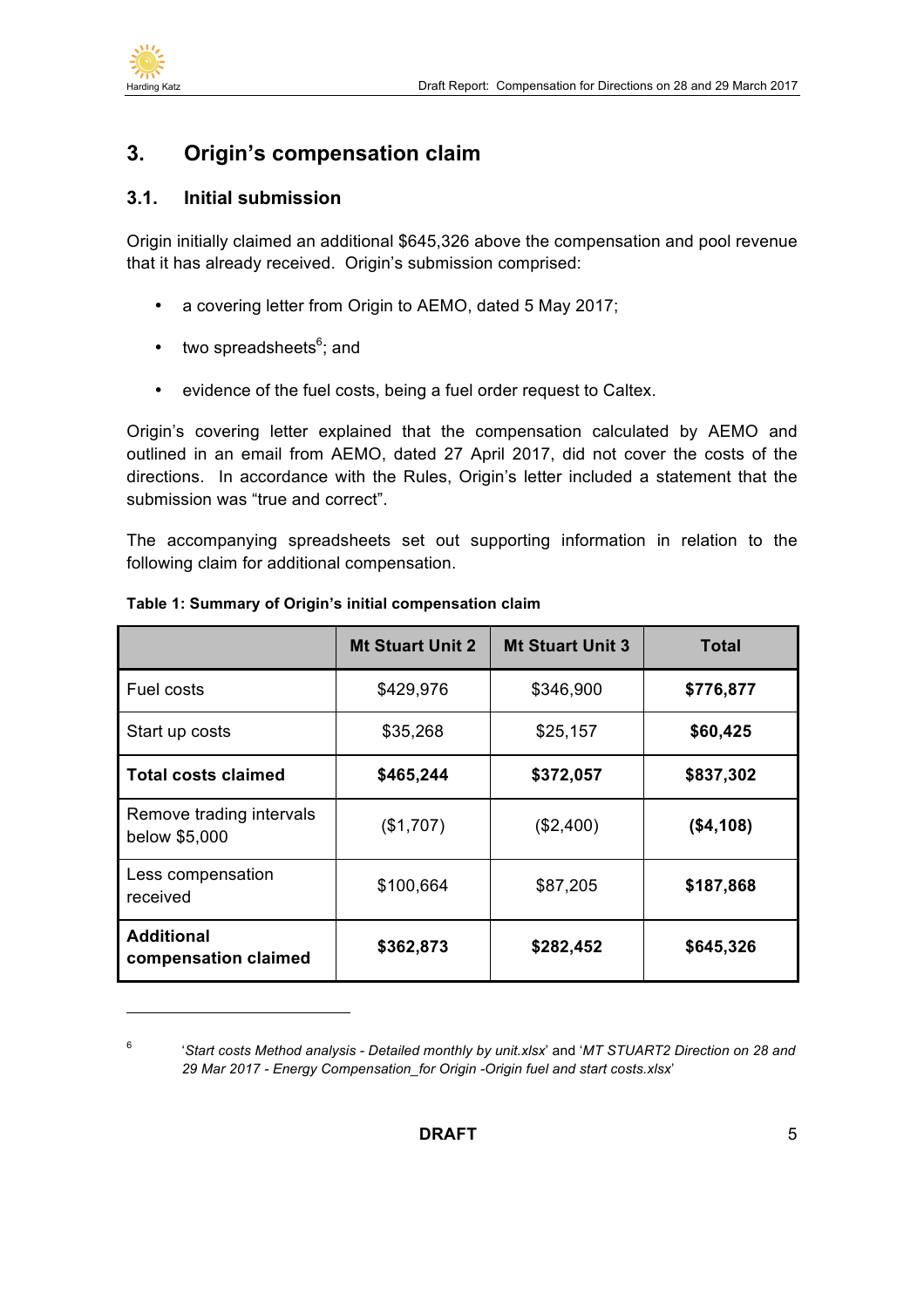

 $\overline{a}$ 

## **3. Origin's compensation claim**

#### **3.1. Initial submission**

Origin initially claimed an additional \$645,326 above the compensation and pool revenue that it has already received. Origin's submission comprised:

- a covering letter from Origin to AEMO, dated 5 May 2017;
- two spreadsheets<sup>6</sup>; and
- evidence of the fuel costs, being a fuel order request to Caltex.

Origin's covering letter explained that the compensation calculated by AEMO and outlined in an email from AEMO, dated 27 April 2017, did not cover the costs of the directions. In accordance with the Rules, Origin's letter included a statement that the submission was "true and correct".

The accompanying spreadsheets set out supporting information in relation to the following claim for additional compensation.

|                                           | <b>Mt Stuart Unit 2</b> | <b>Mt Stuart Unit 3</b> | <b>Total</b> |
|-------------------------------------------|-------------------------|-------------------------|--------------|
| Fuel costs                                | \$429,976               | \$346,900               | \$776,877    |
| Start up costs                            | \$35,268                | \$25,157                | \$60,425     |
| <b>Total costs claimed</b>                | \$465,244               | \$372,057               | \$837,302    |
| Remove trading intervals<br>below \$5,000 | (\$1,707)               | (\$2,400)               | (\$4,108)    |
| Less compensation<br>received             | \$100,664               | \$87,205                | \$187,868    |
| <b>Additional</b><br>compensation claimed | \$362,873               | \$282,452               | \$645,326    |

#### **Table 1: Summary of Origin's initial compensation claim**

<sup>6</sup> '*Start costs Method analysis - Detailed monthly by unit.xlsx*' and '*MT STUART2 Direction on 28 and 29 Mar 2017 - Energy Compensation\_for Origin -Origin fuel and start costs.xlsx*'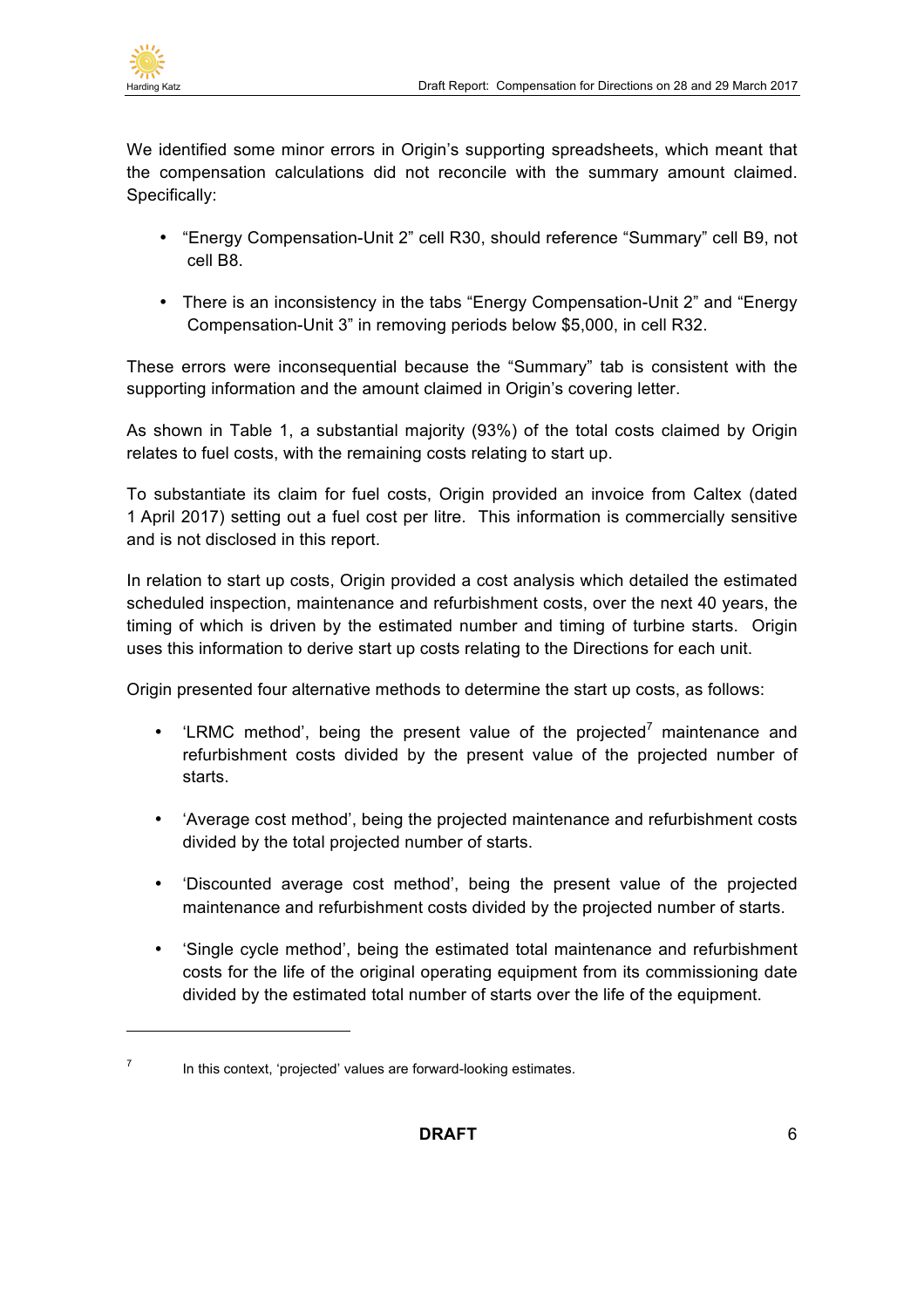

We identified some minor errors in Origin's supporting spreadsheets, which meant that the compensation calculations did not reconcile with the summary amount claimed. Specifically:

- "Energy Compensation-Unit 2" cell R30, should reference "Summary" cell B9, not cell B8.
- There is an inconsistency in the tabs "Energy Compensation-Unit 2" and "Energy Compensation-Unit 3" in removing periods below \$5,000, in cell R32.

These errors were inconsequential because the "Summary" tab is consistent with the supporting information and the amount claimed in Origin's covering letter.

As shown in Table 1, a substantial majority (93%) of the total costs claimed by Origin relates to fuel costs, with the remaining costs relating to start up.

To substantiate its claim for fuel costs, Origin provided an invoice from Caltex (dated 1 April 2017) setting out a fuel cost per litre. This information is commercially sensitive and is not disclosed in this report.

In relation to start up costs, Origin provided a cost analysis which detailed the estimated scheduled inspection, maintenance and refurbishment costs, over the next 40 years, the timing of which is driven by the estimated number and timing of turbine starts. Origin uses this information to derive start up costs relating to the Directions for each unit.

Origin presented four alternative methods to determine the start up costs, as follows:

- $k$  ERMC method', being the present value of the projected<sup>7</sup> maintenance and refurbishment costs divided by the present value of the projected number of starts.
- 'Average cost method', being the projected maintenance and refurbishment costs divided by the total projected number of starts.
- 'Discounted average cost method', being the present value of the projected maintenance and refurbishment costs divided by the projected number of starts.
- 'Single cycle method', being the estimated total maintenance and refurbishment costs for the life of the original operating equipment from its commissioning date divided by the estimated total number of starts over the life of the equipment.

 $7 \cdot$  In this context, 'projected' values are forward-looking estimates.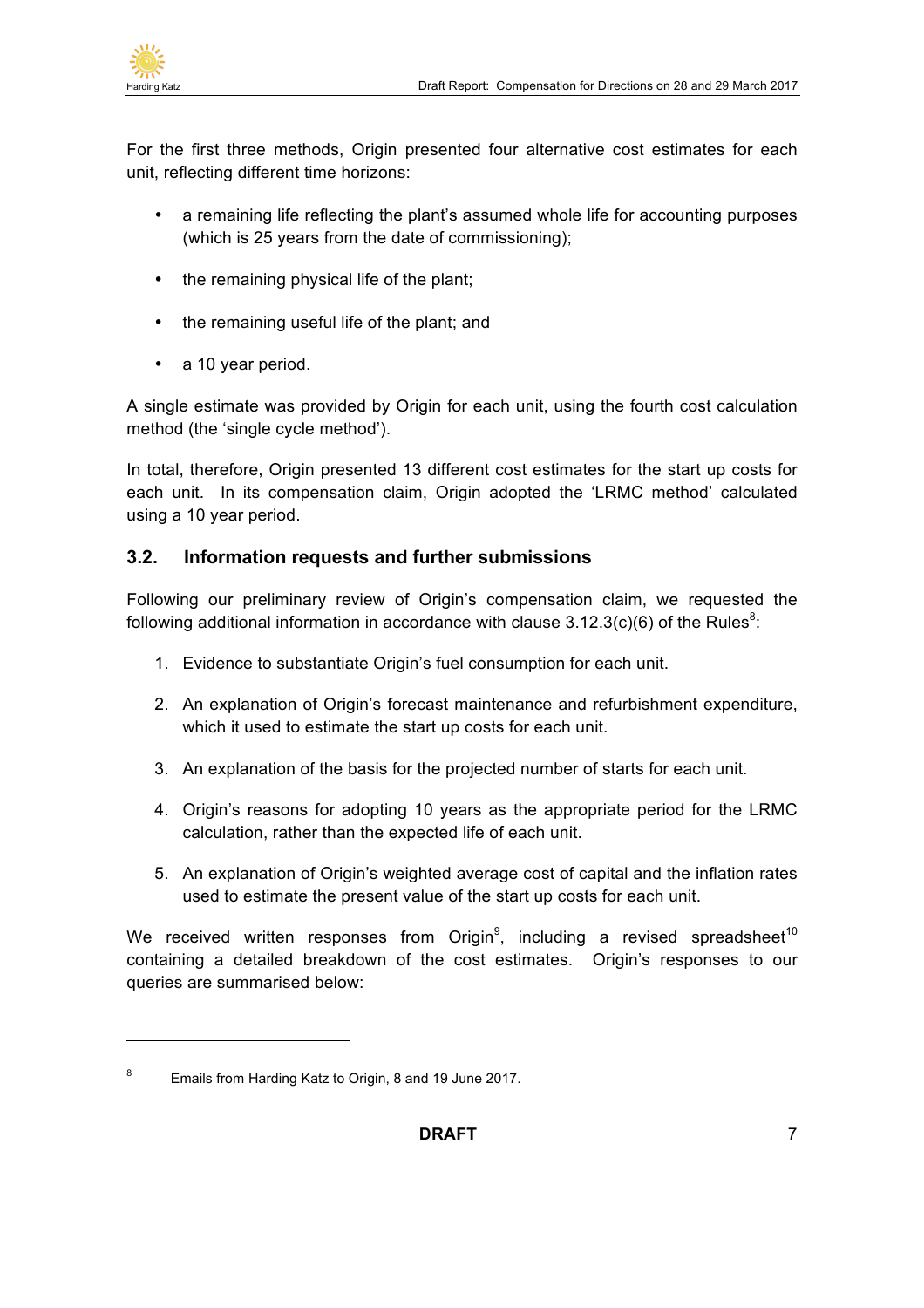

For the first three methods, Origin presented four alternative cost estimates for each unit, reflecting different time horizons:

- a remaining life reflecting the plant's assumed whole life for accounting purposes (which is 25 years from the date of commissioning);
- the remaining physical life of the plant;
- the remaining useful life of the plant; and
- a 10 year period.

A single estimate was provided by Origin for each unit, using the fourth cost calculation method (the 'single cycle method').

In total, therefore, Origin presented 13 different cost estimates for the start up costs for each unit. In its compensation claim, Origin adopted the 'LRMC method' calculated using a 10 year period.

#### **3.2. Information requests and further submissions**

Following our preliminary review of Origin's compensation claim, we requested the following additional information in accordance with clause  $3.12.3(c)(6)$  of the Rules<sup>8</sup>:

- 1. Evidence to substantiate Origin's fuel consumption for each unit.
- 2. An explanation of Origin's forecast maintenance and refurbishment expenditure, which it used to estimate the start up costs for each unit.
- 3. An explanation of the basis for the projected number of starts for each unit.
- 4. Origin's reasons for adopting 10 years as the appropriate period for the LRMC calculation, rather than the expected life of each unit.
- 5. An explanation of Origin's weighted average cost of capital and the inflation rates used to estimate the present value of the start up costs for each unit.

We received written responses from Origin<sup>9</sup>, including a revised spreadsheet<sup>10</sup> containing a detailed breakdown of the cost estimates. Origin's responses to our queries are summarised below:

<sup>&</sup>lt;sup>8</sup> Emails from Harding Katz to Origin, 8 and 19 June 2017.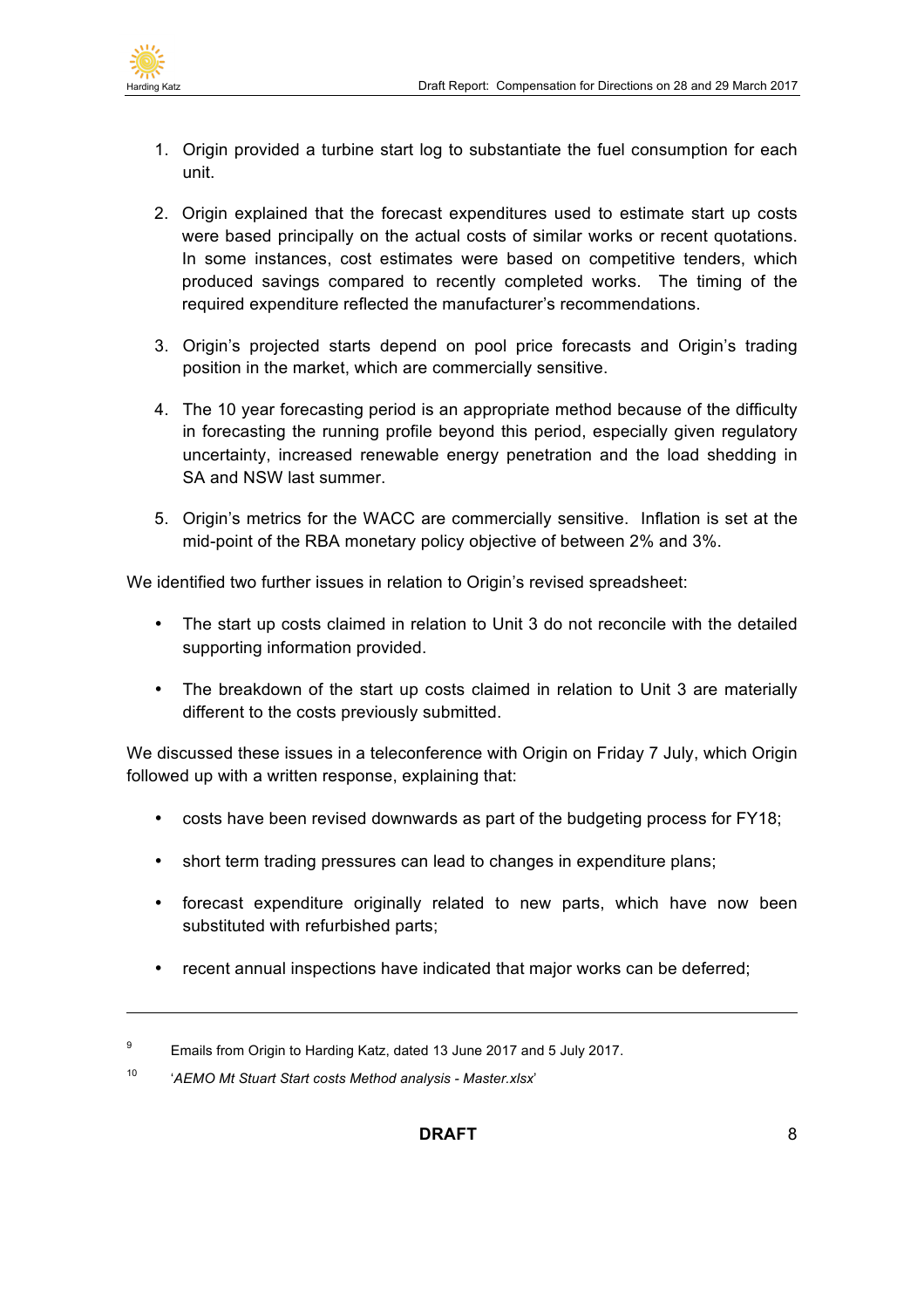

 $\overline{a}$ 

- 1. Origin provided a turbine start log to substantiate the fuel consumption for each unit.
- 2. Origin explained that the forecast expenditures used to estimate start up costs were based principally on the actual costs of similar works or recent quotations. In some instances, cost estimates were based on competitive tenders, which produced savings compared to recently completed works. The timing of the required expenditure reflected the manufacturer's recommendations.
- 3. Origin's projected starts depend on pool price forecasts and Origin's trading position in the market, which are commercially sensitive.
- 4. The 10 year forecasting period is an appropriate method because of the difficulty in forecasting the running profile beyond this period, especially given regulatory uncertainty, increased renewable energy penetration and the load shedding in SA and NSW last summer.
- 5. Origin's metrics for the WACC are commercially sensitive. Inflation is set at the mid-point of the RBA monetary policy objective of between 2% and 3%.

We identified two further issues in relation to Origin's revised spreadsheet:

- The start up costs claimed in relation to Unit 3 do not reconcile with the detailed supporting information provided.
- The breakdown of the start up costs claimed in relation to Unit 3 are materially different to the costs previously submitted.

We discussed these issues in a teleconference with Origin on Friday 7 July, which Origin followed up with a written response, explaining that:

- costs have been revised downwards as part of the budgeting process for FY18;
- short term trading pressures can lead to changes in expenditure plans;
- forecast expenditure originally related to new parts, which have now been substituted with refurbished parts;
- recent annual inspections have indicated that major works can be deferred;

<sup>&</sup>lt;sup>9</sup> Emails from Origin to Harding Katz, dated 13 June 2017 and 5 July 2017.

<sup>10</sup> '*AEMO Mt Stuart Start costs Method analysis - Master.xlsx*'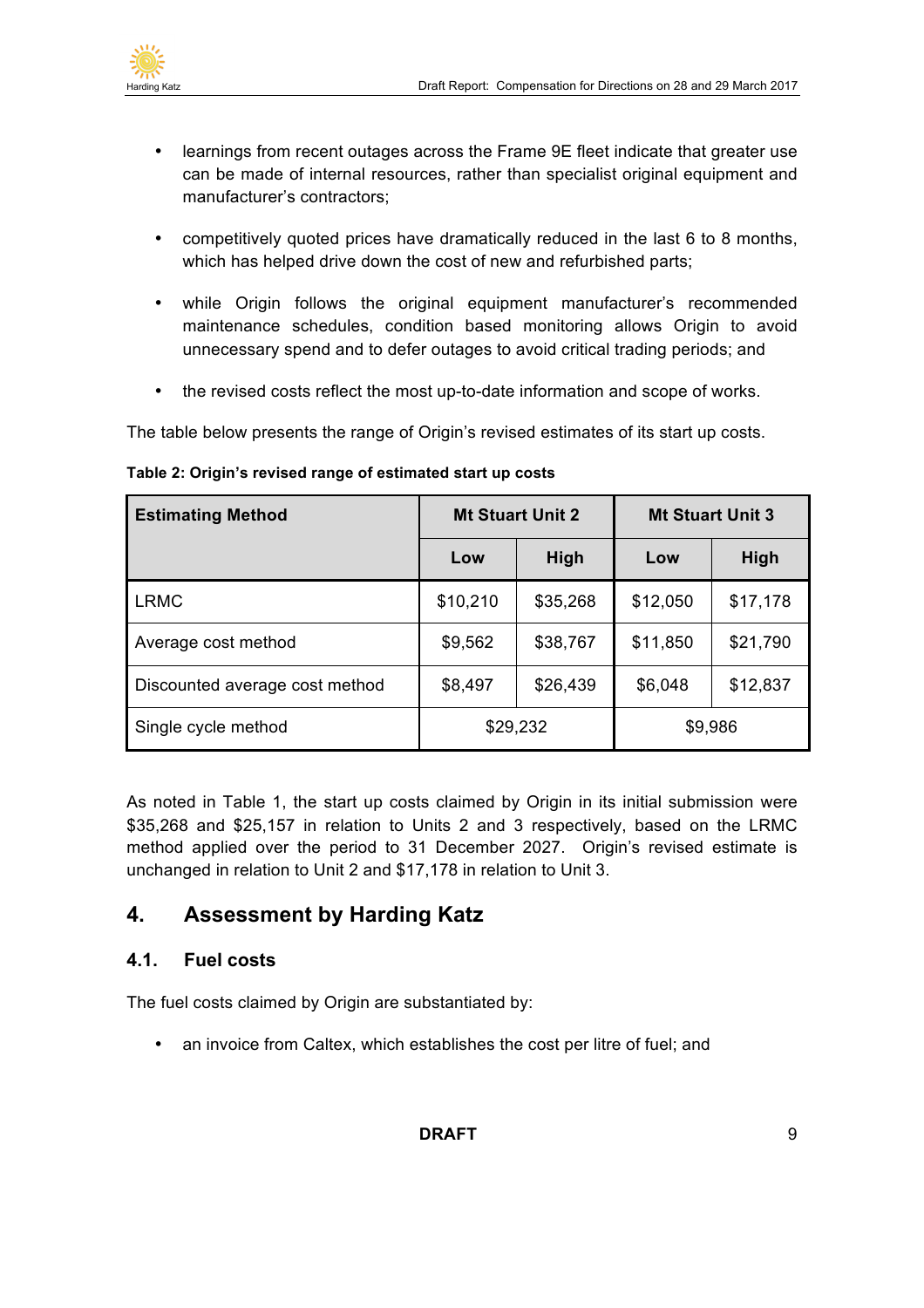

- learnings from recent outages across the Frame 9E fleet indicate that greater use can be made of internal resources, rather than specialist original equipment and manufacturer's contractors;
- competitively quoted prices have dramatically reduced in the last 6 to 8 months, which has helped drive down the cost of new and refurbished parts;
- while Origin follows the original equipment manufacturer's recommended maintenance schedules, condition based monitoring allows Origin to avoid unnecessary spend and to defer outages to avoid critical trading periods; and
- the revised costs reflect the most up-to-date information and scope of works.

The table below presents the range of Origin's revised estimates of its start up costs.

| <b>Estimating Method</b>       | <b>Mt Stuart Unit 2</b> |          | <b>Mt Stuart Unit 3</b> |          |
|--------------------------------|-------------------------|----------|-------------------------|----------|
|                                | Low                     | High     | Low                     | High     |
| <b>LRMC</b>                    | \$10,210                | \$35,268 | \$12,050                | \$17,178 |
| Average cost method            | \$9,562                 | \$38,767 | \$11,850                | \$21,790 |
| Discounted average cost method | \$8,497                 | \$26,439 | \$6,048                 | \$12,837 |
| Single cycle method            | \$29,232                |          | \$9,986                 |          |

#### **Table 2: Origin's revised range of estimated start up costs**

As noted in Table 1, the start up costs claimed by Origin in its initial submission were \$35,268 and \$25,157 in relation to Units 2 and 3 respectively, based on the LRMC method applied over the period to 31 December 2027. Origin's revised estimate is unchanged in relation to Unit 2 and \$17,178 in relation to Unit 3.

## **4. Assessment by Harding Katz**

## **4.1. Fuel costs**

The fuel costs claimed by Origin are substantiated by:

• an invoice from Caltex, which establishes the cost per litre of fuel; and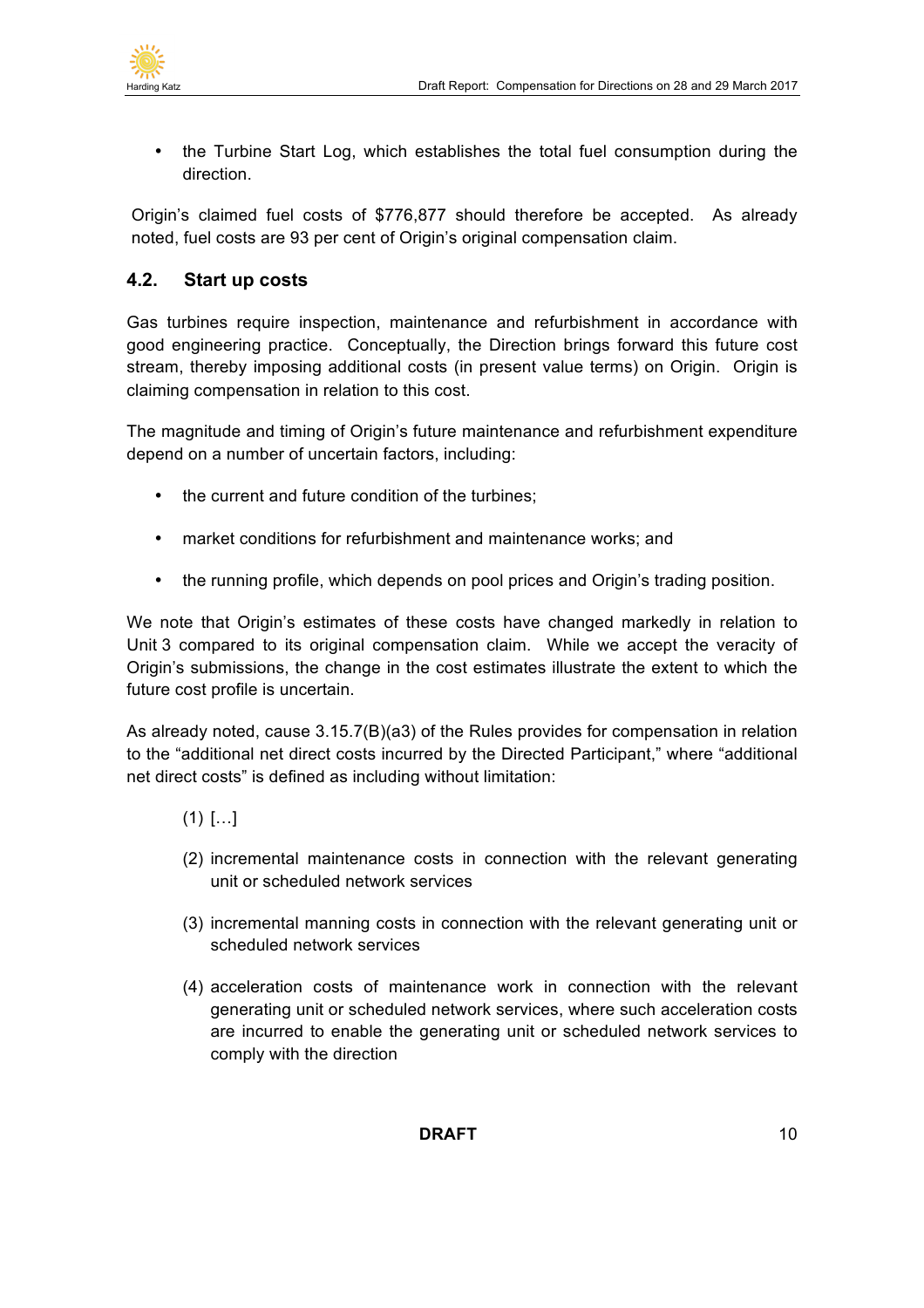

• the Turbine Start Log, which establishes the total fuel consumption during the direction.

Origin's claimed fuel costs of \$776,877 should therefore be accepted. As already noted, fuel costs are 93 per cent of Origin's original compensation claim.

## **4.2. Start up costs**

Gas turbines require inspection, maintenance and refurbishment in accordance with good engineering practice. Conceptually, the Direction brings forward this future cost stream, thereby imposing additional costs (in present value terms) on Origin. Origin is claiming compensation in relation to this cost.

The magnitude and timing of Origin's future maintenance and refurbishment expenditure depend on a number of uncertain factors, including:

- the current and future condition of the turbines;
- market conditions for refurbishment and maintenance works; and
- the running profile, which depends on pool prices and Origin's trading position.

We note that Origin's estimates of these costs have changed markedly in relation to Unit 3 compared to its original compensation claim. While we accept the veracity of Origin's submissions, the change in the cost estimates illustrate the extent to which the future cost profile is uncertain.

As already noted, cause 3.15.7(B)(a3) of the Rules provides for compensation in relation to the "additional net direct costs incurred by the Directed Participant," where "additional net direct costs" is defined as including without limitation:

- $(1)$   $[...]$
- (2) incremental maintenance costs in connection with the relevant generating unit or scheduled network services
- (3) incremental manning costs in connection with the relevant generating unit or scheduled network services
- (4) acceleration costs of maintenance work in connection with the relevant generating unit or scheduled network services, where such acceleration costs are incurred to enable the generating unit or scheduled network services to comply with the direction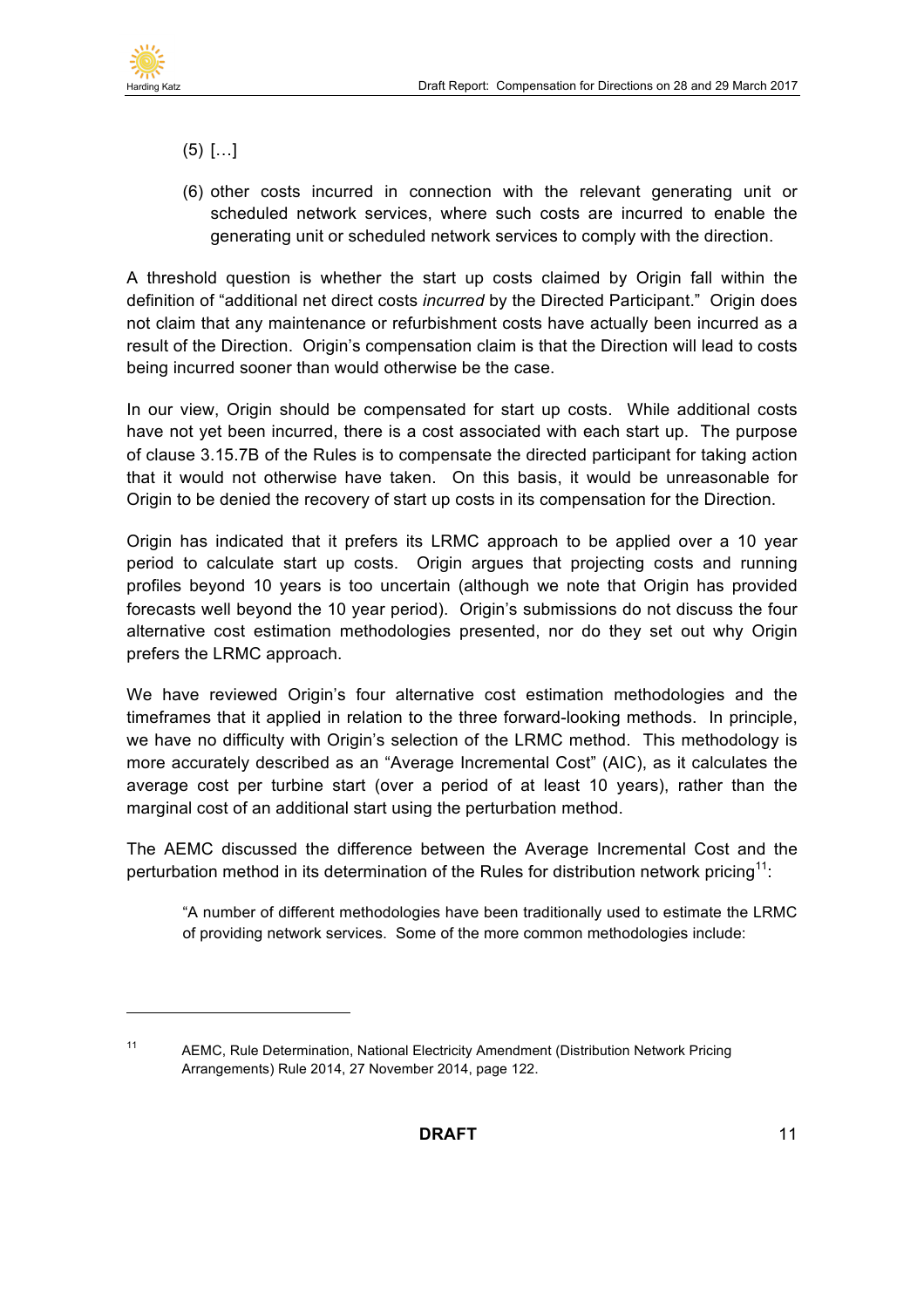

 $\overline{a}$ 

- (5) […]
- (6) other costs incurred in connection with the relevant generating unit or scheduled network services, where such costs are incurred to enable the generating unit or scheduled network services to comply with the direction.

A threshold question is whether the start up costs claimed by Origin fall within the definition of "additional net direct costs *incurred* by the Directed Participant." Origin does not claim that any maintenance or refurbishment costs have actually been incurred as a result of the Direction. Origin's compensation claim is that the Direction will lead to costs being incurred sooner than would otherwise be the case.

In our view, Origin should be compensated for start up costs. While additional costs have not yet been incurred, there is a cost associated with each start up. The purpose of clause 3.15.7B of the Rules is to compensate the directed participant for taking action that it would not otherwise have taken. On this basis, it would be unreasonable for Origin to be denied the recovery of start up costs in its compensation for the Direction.

Origin has indicated that it prefers its LRMC approach to be applied over a 10 year period to calculate start up costs. Origin argues that projecting costs and running profiles beyond 10 years is too uncertain (although we note that Origin has provided forecasts well beyond the 10 year period). Origin's submissions do not discuss the four alternative cost estimation methodologies presented, nor do they set out why Origin prefers the LRMC approach.

We have reviewed Origin's four alternative cost estimation methodologies and the timeframes that it applied in relation to the three forward-looking methods. In principle, we have no difficulty with Origin's selection of the LRMC method. This methodology is more accurately described as an "Average Incremental Cost" (AIC), as it calculates the average cost per turbine start (over a period of at least 10 years), rather than the marginal cost of an additional start using the perturbation method.

The AEMC discussed the difference between the Average Incremental Cost and the perturbation method in its determination of the Rules for distribution network pricing<sup>11</sup>:

"A number of different methodologies have been traditionally used to estimate the LRMC of providing network services. Some of the more common methodologies include:

<sup>11</sup> AEMC, Rule Determination, National Electricity Amendment (Distribution Network Pricing Arrangements) Rule 2014, 27 November 2014, page 122.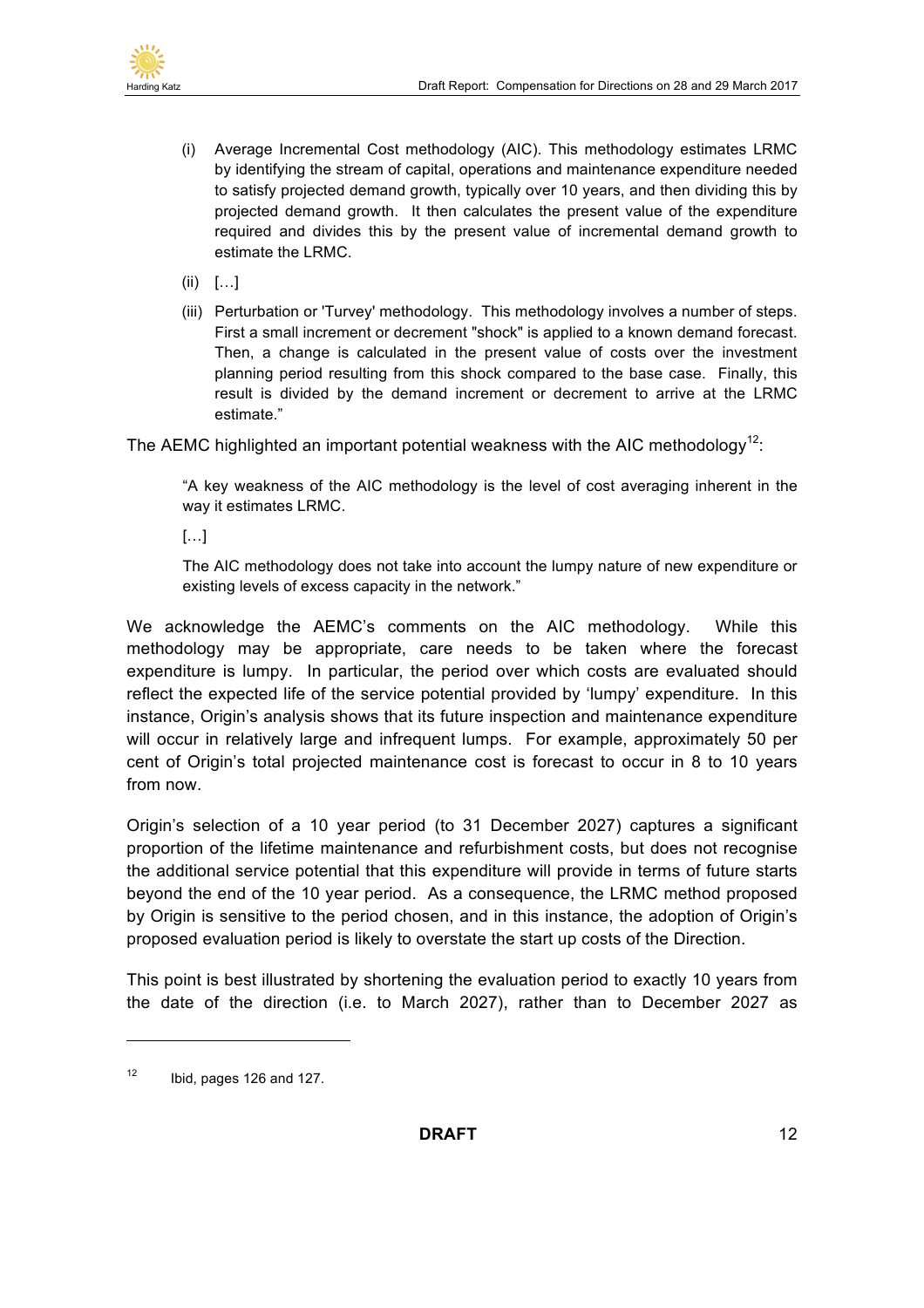

- (i) Average Incremental Cost methodology (AIC). This methodology estimates LRMC by identifying the stream of capital, operations and maintenance expenditure needed to satisfy projected demand growth, typically over 10 years, and then dividing this by projected demand growth. It then calculates the present value of the expenditure required and divides this by the present value of incremental demand growth to estimate the LRMC.
- $(ii)$  [...]
- (iii) Perturbation or 'Turvey' methodology. This methodology involves a number of steps. First a small increment or decrement "shock" is applied to a known demand forecast. Then, a change is calculated in the present value of costs over the investment planning period resulting from this shock compared to the base case. Finally, this result is divided by the demand increment or decrement to arrive at the LRMC estimate."

The AEMC highlighted an important potential weakness with the AIC methodology<sup>12</sup>:

"A key weakness of the AIC methodology is the level of cost averaging inherent in the way it estimates LRMC.

 $\left[\ldots\right]$ 

The AIC methodology does not take into account the lumpy nature of new expenditure or existing levels of excess capacity in the network."

We acknowledge the AEMC's comments on the AIC methodology. While this methodology may be appropriate, care needs to be taken where the forecast expenditure is lumpy. In particular, the period over which costs are evaluated should reflect the expected life of the service potential provided by 'lumpy' expenditure. In this instance, Origin's analysis shows that its future inspection and maintenance expenditure will occur in relatively large and infrequent lumps. For example, approximately 50 per cent of Origin's total projected maintenance cost is forecast to occur in 8 to 10 years from now.

Origin's selection of a 10 year period (to 31 December 2027) captures a significant proportion of the lifetime maintenance and refurbishment costs, but does not recognise the additional service potential that this expenditure will provide in terms of future starts beyond the end of the 10 year period. As a consequence, the LRMC method proposed by Origin is sensitive to the period chosen, and in this instance, the adoption of Origin's proposed evaluation period is likely to overstate the start up costs of the Direction.

This point is best illustrated by shortening the evaluation period to exactly 10 years from the date of the direction (i.e. to March 2027), rather than to December 2027 as

 $12$  Ibid, pages 126 and 127.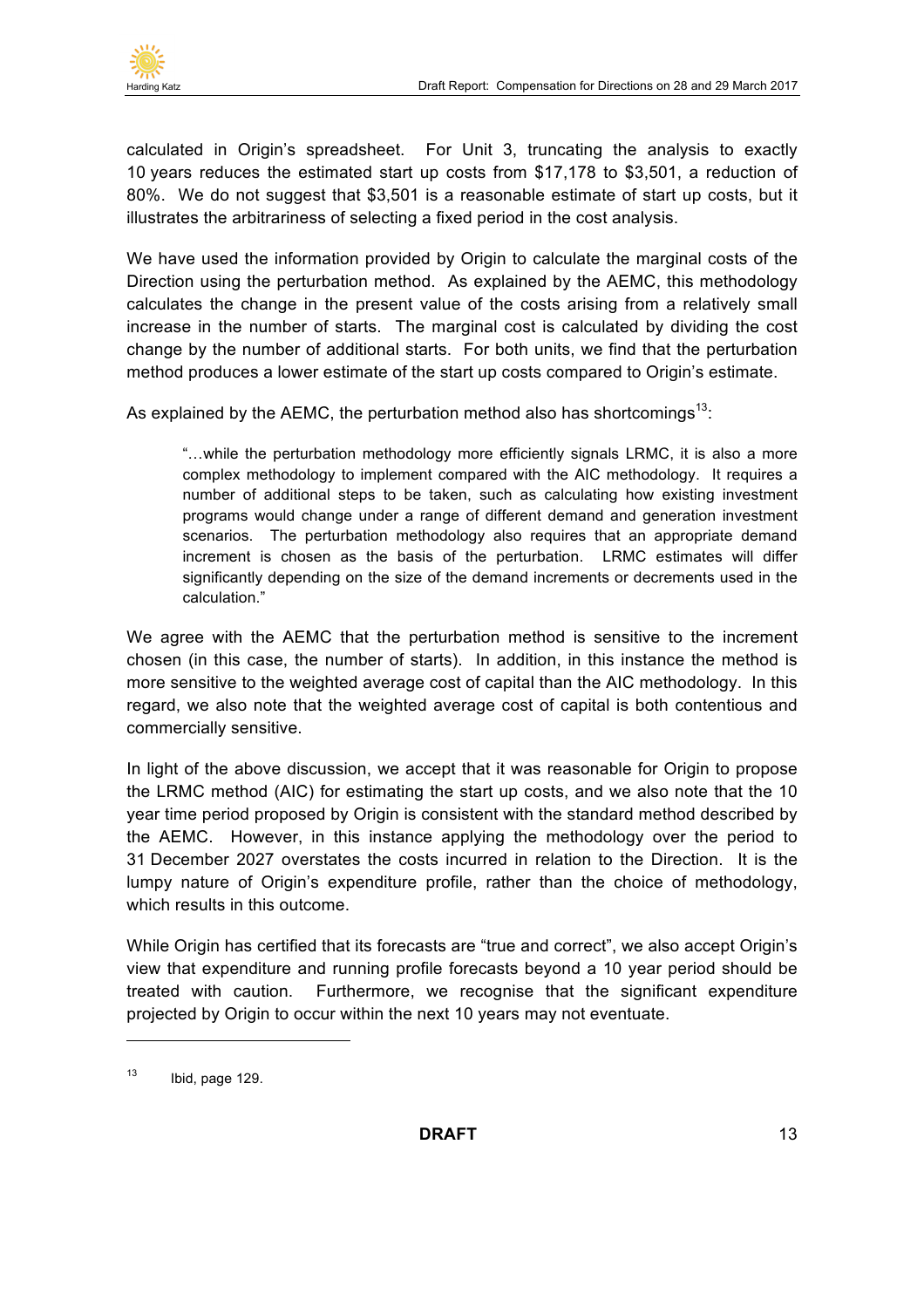

calculated in Origin's spreadsheet. For Unit 3, truncating the analysis to exactly 10 years reduces the estimated start up costs from \$17,178 to \$3,501, a reduction of 80%. We do not suggest that \$3,501 is a reasonable estimate of start up costs, but it illustrates the arbitrariness of selecting a fixed period in the cost analysis.

We have used the information provided by Origin to calculate the marginal costs of the Direction using the perturbation method. As explained by the AEMC, this methodology calculates the change in the present value of the costs arising from a relatively small increase in the number of starts. The marginal cost is calculated by dividing the cost change by the number of additional starts. For both units, we find that the perturbation method produces a lower estimate of the start up costs compared to Origin's estimate.

As explained by the AEMC, the perturbation method also has shortcomings<sup>13</sup>:

"…while the perturbation methodology more efficiently signals LRMC, it is also a more complex methodology to implement compared with the AIC methodology. It requires a number of additional steps to be taken, such as calculating how existing investment programs would change under a range of different demand and generation investment scenarios. The perturbation methodology also requires that an appropriate demand increment is chosen as the basis of the perturbation. LRMC estimates will differ significantly depending on the size of the demand increments or decrements used in the calculation."

We agree with the AEMC that the perturbation method is sensitive to the increment chosen (in this case, the number of starts). In addition, in this instance the method is more sensitive to the weighted average cost of capital than the AIC methodology. In this regard, we also note that the weighted average cost of capital is both contentious and commercially sensitive.

In light of the above discussion, we accept that it was reasonable for Origin to propose the LRMC method (AIC) for estimating the start up costs, and we also note that the 10 year time period proposed by Origin is consistent with the standard method described by the AEMC. However, in this instance applying the methodology over the period to 31 December 2027 overstates the costs incurred in relation to the Direction. It is the lumpy nature of Origin's expenditure profile, rather than the choice of methodology, which results in this outcome.

While Origin has certified that its forecasts are "true and correct", we also accept Origin's view that expenditure and running profile forecasts beyond a 10 year period should be treated with caution. Furthermore, we recognise that the significant expenditure projected by Origin to occur within the next 10 years may not eventuate.

 $13$  Ibid, page 129.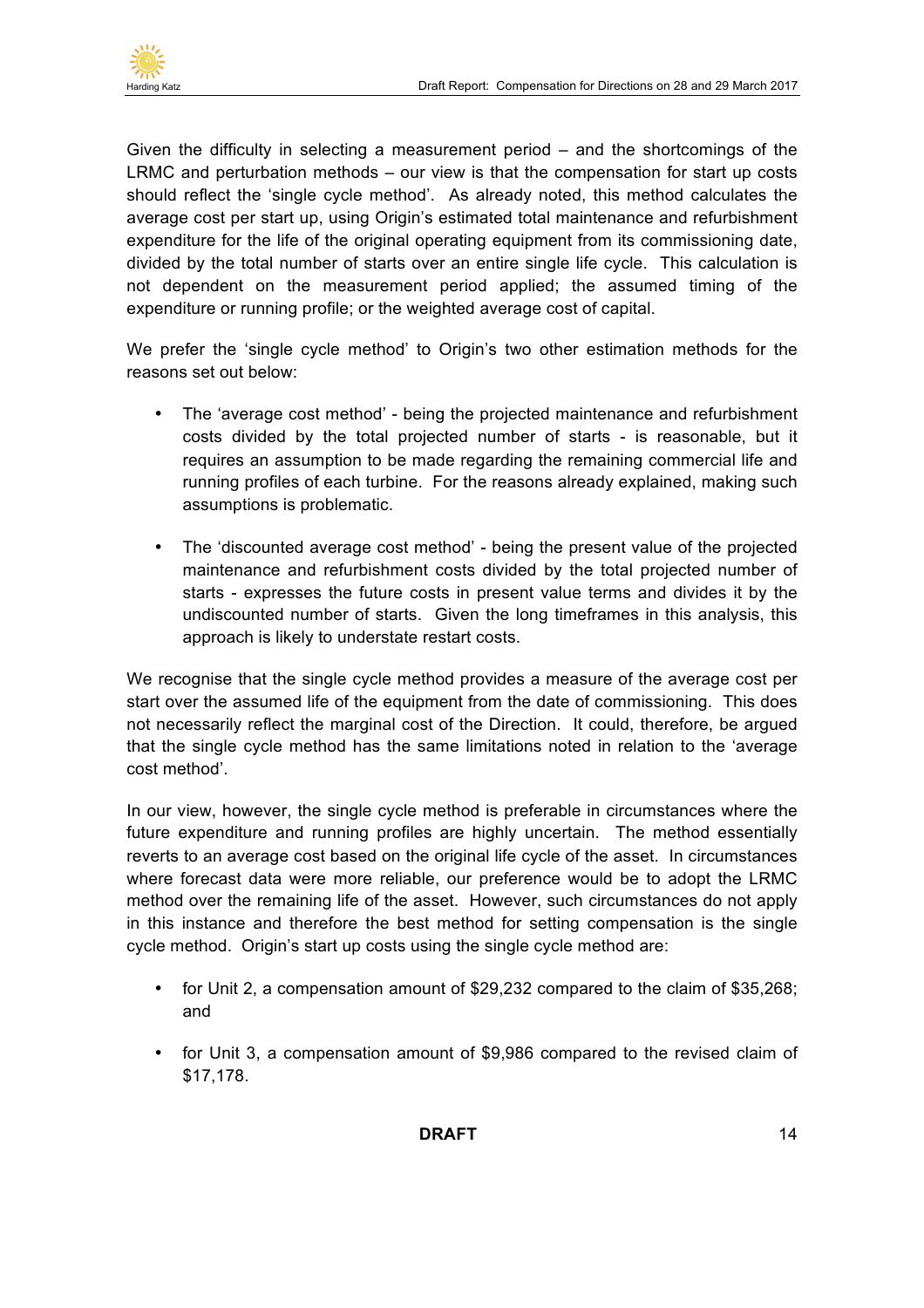

Given the difficulty in selecting a measurement period – and the shortcomings of the LRMC and perturbation methods – our view is that the compensation for start up costs should reflect the 'single cycle method'. As already noted, this method calculates the average cost per start up, using Origin's estimated total maintenance and refurbishment expenditure for the life of the original operating equipment from its commissioning date, divided by the total number of starts over an entire single life cycle. This calculation is not dependent on the measurement period applied; the assumed timing of the expenditure or running profile; or the weighted average cost of capital.

We prefer the 'single cycle method' to Origin's two other estimation methods for the reasons set out below:

- The 'average cost method' being the projected maintenance and refurbishment costs divided by the total projected number of starts - is reasonable, but it requires an assumption to be made regarding the remaining commercial life and running profiles of each turbine. For the reasons already explained, making such assumptions is problematic.
- The 'discounted average cost method' being the present value of the projected maintenance and refurbishment costs divided by the total projected number of starts - expresses the future costs in present value terms and divides it by the undiscounted number of starts. Given the long timeframes in this analysis, this approach is likely to understate restart costs.

We recognise that the single cycle method provides a measure of the average cost per start over the assumed life of the equipment from the date of commissioning. This does not necessarily reflect the marginal cost of the Direction. It could, therefore, be argued that the single cycle method has the same limitations noted in relation to the 'average cost method'.

In our view, however, the single cycle method is preferable in circumstances where the future expenditure and running profiles are highly uncertain. The method essentially reverts to an average cost based on the original life cycle of the asset. In circumstances where forecast data were more reliable, our preference would be to adopt the LRMC method over the remaining life of the asset. However, such circumstances do not apply in this instance and therefore the best method for setting compensation is the single cycle method. Origin's start up costs using the single cycle method are:

- for Unit 2, a compensation amount of \$29,232 compared to the claim of \$35,268; and
- for Unit 3, a compensation amount of \$9,986 compared to the revised claim of \$17,178.